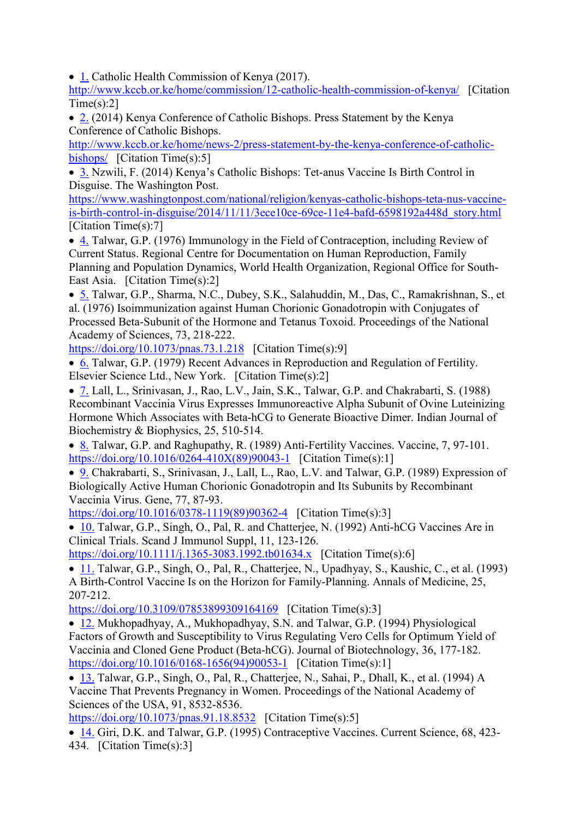• [1.](https://www.scirp.org/reference/ReferencesPapers.aspx?ReferenceID=2195920) Catholic Health Commission of Kenya (2017).

<http://www.kccb.or.ke/home/commission/12-catholic-health-commission-of-kenya/>[Citation  $Time(s):21$ 

• [2.](https://www.scirp.org/reference/ReferencesPapers.aspx?ReferenceID=2195921) (2014) Kenya Conference of Catholic Bishops. Press Statement by the Kenya Conference of Catholic Bishops.

[http://www.kccb.or.ke/home/news-2/press-statement-by-the-kenya-conference-of-catholic](http://www.kccb.or.ke/home/news-2/press-statement-by-the-kenya-conference-of-catholic-bishops/)[bishops/](http://www.kccb.or.ke/home/news-2/press-statement-by-the-kenya-conference-of-catholic-bishops/) [Citation Time(s):5]

• [3.](https://www.scirp.org/reference/ReferencesPapers.aspx?ReferenceID=2195922) Nzwili, F. (2014) Kenya's Catholic Bishops: Tet-anus Vaccine Is Birth Control in Disguise. The Washington Post.

[https://www.washingtonpost.com/national/religion/kenyas-catholic-bishops-teta-nus-vaccine](https://www.washingtonpost.com/national/religion/kenyas-catholic-bishops-teta-nus-vaccine-is-birth-control-in-disguise/2014/11/11/3ece10ce-69ce-11e4-bafd-6598192a448d_story.html)[is-birth-control-in-disguise/2014/11/11/3ece10ce-69ce-11e4-bafd-6598192a448d\\_story.html](https://www.washingtonpost.com/national/religion/kenyas-catholic-bishops-teta-nus-vaccine-is-birth-control-in-disguise/2014/11/11/3ece10ce-69ce-11e4-bafd-6598192a448d_story.html)  [Citation Time(s):7]

• [4.](https://www.scirp.org/reference/ReferencesPapers.aspx?ReferenceID=2195923) Talwar, G.P. (1976) Immunology in the Field of Contraception, including Review of Current Status. Regional Centre for Documentation on Human Reproduction, Family Planning and Population Dynamics, World Health Organization, Regional Office for South-East Asia. [Citation Time(s):2]

• [5.](https://www.scirp.org/reference/ReferencesPapers.aspx?ReferenceID=2195924) Talwar, G.P., Sharma, N.C., Dubey, S.K., Salahuddin, M., Das, C., Ramakrishnan, S., et al. (1976) Isoimmunization against Human Chorionic Gonadotropin with Conjugates of Processed Beta-Subunit of the Hormone and Tetanus Toxoid. Proceedings of the National Academy of Sciences, 73, 218-222.

<https://doi.org/10.1073/pnas.73.1.218>[Citation Time(s):9]

• [6.](https://www.scirp.org/reference/ReferencesPapers.aspx?ReferenceID=2195925) Talwar, G.P. (1979) Recent Advances in Reproduction and Regulation of Fertility. Elsevier Science Ltd., New York. [Citation Time(s):2]

• [7.](https://www.scirp.org/reference/ReferencesPapers.aspx?ReferenceID=2195926) Lall, L., Srinivasan, J., Rao, L.V., Jain, S.K., Talwar, G.P. and Chakrabarti, S. (1988) Recombinant Vaccinia Virus Expresses Immunoreactive Alpha Subunit of Ovine Luteinizing Hormone Which Associates with Beta-hCG to Generate Bioactive Dimer. Indian Journal of Biochemistry & Biophysics, 25, 510-514.

• [8.](https://www.scirp.org/reference/ReferencesPapers.aspx?ReferenceID=2195927) Talwar, G.P. and Raghupathy, R. (1989) Anti-Fertility Vaccines. Vaccine, 7, 97-101. [https://doi.org/10.1016/0264-410X\(89\)90043-1](https://doi.org/10.1016/0264-410X(89)90043-1) [Citation Time(s):1]

• [9.](https://www.scirp.org/reference/ReferencesPapers.aspx?ReferenceID=2195928) Chakrabarti, S., Srinivasan, J., Lall, L., Rao, L.V. and Talwar, G.P. (1989) Expression of Biologically Active Human Chorionic Gonadotropin and Its Subunits by Recombinant Vaccinia Virus. Gene, 77, 87-93.

[https://doi.org/10.1016/0378-1119\(89\)90362-4](https://doi.org/10.1016/0378-1119(89)90362-4) [Citation Time(s):3]

• [10.](https://www.scirp.org/reference/ReferencesPapers.aspx?ReferenceID=2195929) Talwar, G.P., Singh, O., Pal, R. and Chatteriee, N. (1992) Anti-hCG Vaccines Are in Clinical Trials. Scand J Immunol Suppl, 11, 123-126.

<https://doi.org/10.1111/j.1365-3083.1992.tb01634.x>[Citation Time(s):6]

• [11.](https://www.scirp.org/reference/ReferencesPapers.aspx?ReferenceID=2195930) Talwar, G.P., Singh, O., Pal, R., Chatterjee, N., Upadhyay, S., Kaushic, C., et al. (1993) A Birth-Control Vaccine Is on the Horizon for Family-Planning. Annals of Medicine, 25, 207-212.

<https://doi.org/10.3109/07853899309164169>[Citation Time(s):3]

• [12.](https://www.scirp.org/reference/ReferencesPapers.aspx?ReferenceID=2195931) Mukhopadhyay, A., Mukhopadhyay, S.N. and Talwar, G.P. (1994) Physiological Factors of Growth and Susceptibility to Virus Regulating Vero Cells for Optimum Yield of Vaccinia and Cloned Gene Product (Beta-hCG). Journal of Biotechnology, 36, 177-182. [https://doi.org/10.1016/0168-1656\(94\)90053-1](https://doi.org/10.1016/0168-1656(94)90053-1) [Citation Time(s):1]

• [13.](https://www.scirp.org/reference/ReferencesPapers.aspx?ReferenceID=2195932) Talwar, G.P., Singh, O., Pal, R., Chatteriee, N., Sahai, P., Dhall, K., et al. (1994) A Vaccine That Prevents Pregnancy in Women. Proceedings of the National Academy of Sciences of the USA, 91, 8532-8536.

<https://doi.org/10.1073/pnas.91.18.8532>[Citation Time(s):5]

• [14.](https://www.scirp.org/reference/ReferencesPapers.aspx?ReferenceID=2195933) Giri, D.K. and Talwar, G.P. (1995) Contraceptive Vaccines. Current Science, 68, 423-434. [Citation Time(s):3]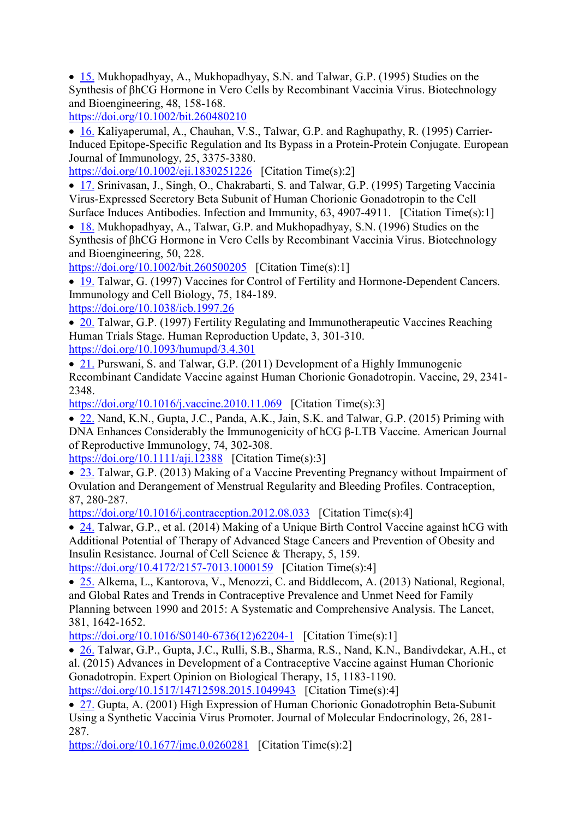• [15.](https://www.scirp.org/reference/ReferencesPapers.aspx?ReferenceID=2195934) Mukhopadhyay, A., Mukhopadhyay, S.N. and Talwar, G.P. (1995) Studies on the Synthesis of βhCG Hormone in Vero Cells by Recombinant Vaccinia Virus. Biotechnology and Bioengineering, 48, 158-168.

<https://doi.org/10.1002/bit.260480210>

• [16.](https://www.scirp.org/reference/ReferencesPapers.aspx?ReferenceID=2195935) Kaliyaperumal, A., Chauhan, V.S., Talwar, G.P. and Raghupathy, R. (1995) Carrier-Induced Epitope-Specific Regulation and Its Bypass in a Protein-Protein Conjugate. European Journal of Immunology, 25, 3375-3380.

<https://doi.org/10.1002/eji.1830251226>[Citation Time(s):2]

• [17.](https://www.scirp.org/reference/ReferencesPapers.aspx?ReferenceID=2195936) Srinivasan, J., Singh, O., Chakrabarti, S. and Talwar, G.P. (1995) Targeting Vaccinia Virus-Expressed Secretory Beta Subunit of Human Chorionic Gonadotropin to the Cell Surface Induces Antibodies. Infection and Immunity, 63, 4907-4911. [Citation Time(s):1]

• [18.](https://www.scirp.org/reference/ReferencesPapers.aspx?ReferenceID=2195937) Mukhopadhyay, A., Talwar, G.P. and Mukhopadhyay, S.N. (1996) Studies on the Synthesis of βhCG Hormone in Vero Cells by Recombinant Vaccinia Virus. Biotechnology and Bioengineering, 50, 228.

<https://doi.org/10.1002/bit.260500205>[Citation Time(s):1]

• [19.](https://www.scirp.org/reference/ReferencesPapers.aspx?ReferenceID=2195938) Talwar, G. (1997) Vaccines for Control of Fertility and Hormone-Dependent Cancers. Immunology and Cell Biology, 75, 184-189.

<https://doi.org/10.1038/icb.1997.26>

• [20.](https://www.scirp.org/reference/ReferencesPapers.aspx?ReferenceID=2195939) Talwar, G.P. (1997) Fertility Regulating and Immunotherapeutic Vaccines Reaching Human Trials Stage. Human Reproduction Update, 3, 301-310. <https://doi.org/10.1093/humupd/3.4.301>

• [21.](https://www.scirp.org/reference/ReferencesPapers.aspx?ReferenceID=2195940) Purswani, S. and Talwar, G.P. (2011) Development of a Highly Immunogenic Recombinant Candidate Vaccine against Human Chorionic Gonadotropin. Vaccine, 29, 2341- 2348.

<https://doi.org/10.1016/j.vaccine.2010.11.069>[Citation Time(s):3]

• [22.](https://www.scirp.org/reference/ReferencesPapers.aspx?ReferenceID=2195941) Nand, K.N., Gupta, J.C., Panda, A.K., Jain, S.K. and Talwar, G.P. (2015) Priming with DNA Enhances Considerably the Immunogenicity of hCG β-LTB Vaccine. American Journal of Reproductive Immunology, 74, 302-308.

<https://doi.org/10.1111/aji.12388>[Citation Time(s):3]

• [23.](https://www.scirp.org/reference/ReferencesPapers.aspx?ReferenceID=2195942) Talwar, G.P. (2013) Making of a Vaccine Preventing Pregnancy without Impairment of Ovulation and Derangement of Menstrual Regularity and Bleeding Profiles. Contraception, 87, 280-287.

<https://doi.org/10.1016/j.contraception.2012.08.033>[Citation Time(s):4]

• [24.](https://www.scirp.org/reference/ReferencesPapers.aspx?ReferenceID=2195943) Talwar, G.P., et al. (2014) Making of a Unique Birth Control Vaccine against hCG with Additional Potential of Therapy of Advanced Stage Cancers and Prevention of Obesity and Insulin Resistance. Journal of Cell Science & Therapy, 5, 159.

<https://doi.org/10.4172/2157-7013.1000159>[Citation Time(s):4]

• [25.](https://www.scirp.org/reference/ReferencesPapers.aspx?ReferenceID=2195944) Alkema, L., Kantorova, V., Menozzi, C. and Biddlecom, A. (2013) National, Regional, and Global Rates and Trends in Contraceptive Prevalence and Unmet Need for Family Planning between 1990 and 2015: A Systematic and Comprehensive Analysis. The Lancet, 381, 1642-1652.

[https://doi.org/10.1016/S0140-6736\(12\)62204-1](https://doi.org/10.1016/S0140-6736(12)62204-1) [Citation Time(s):1]

• [26.](https://www.scirp.org/reference/ReferencesPapers.aspx?ReferenceID=2195945) Talwar, G.P., Gupta, J.C., Rulli, S.B., Sharma, R.S., Nand, K.N., Bandivdekar, A.H., et al. (2015) Advances in Development of a Contraceptive Vaccine against Human Chorionic Gonadotropin. Expert Opinion on Biological Therapy, 15, 1183-1190.

<https://doi.org/10.1517/14712598.2015.1049943>[Citation Time(s):4]

• [27.](https://www.scirp.org/reference/ReferencesPapers.aspx?ReferenceID=2195946) Gupta, A. (2001) High Expression of Human Chorionic Gonadotrophin Beta-Subunit Using a Synthetic Vaccinia Virus Promoter. Journal of Molecular Endocrinology, 26, 281- 287.

<https://doi.org/10.1677/jme.0.0260281>[Citation Time(s):2]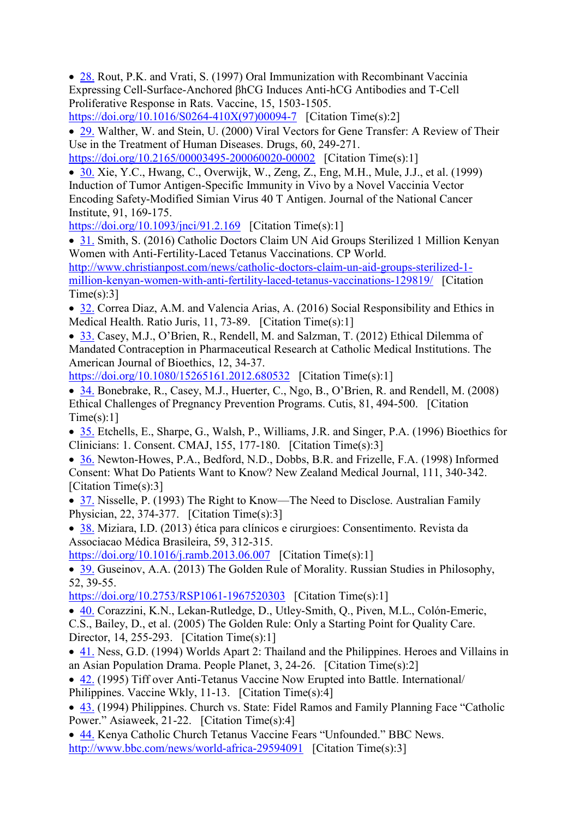• [28.](https://www.scirp.org/reference/ReferencesPapers.aspx?ReferenceID=2195947) Rout, P.K. and Vrati, S. (1997) Oral Immunization with Recombinant Vaccinia Expressing Cell-Surface-Anchored βhCG Induces Anti-hCG Antibodies and T-Cell Proliferative Response in Rats. Vaccine, 15, 1503-1505. [https://doi.org/10.1016/S0264-410X\(97\)00094-7](https://doi.org/10.1016/S0264-410X(97)00094-7) [Citation Time(s):2]

• [29.](https://www.scirp.org/reference/ReferencesPapers.aspx?ReferenceID=2195948) Walther, W. and Stein, U. (2000) Viral Vectors for Gene Transfer: A Review of Their Use in the Treatment of Human Diseases. Drugs, 60, 249-271.

<https://doi.org/10.2165/00003495-200060020-00002>[Citation Time(s):1]

• [30.](https://www.scirp.org/reference/ReferencesPapers.aspx?ReferenceID=2195949) Xie, Y.C., Hwang, C., Overwijk, W., Zeng, Z., Eng, M.H., Mule, J.J., et al. (1999) Induction of Tumor Antigen-Specific Immunity in Vivo by a Novel Vaccinia Vector Encoding Safety-Modified Simian Virus 40 T Antigen. Journal of the National Cancer Institute, 91, 169-175.

<https://doi.org/10.1093/jnci/91.2.169>[Citation Time(s):1]

• [31.](https://www.scirp.org/reference/ReferencesPapers.aspx?ReferenceID=2195950) Smith, S. (2016) Catholic Doctors Claim UN Aid Groups Sterilized 1 Million Kenyan Women with Anti-Fertility-Laced Tetanus Vaccinations. CP World. [http://www.christianpost.com/news/catholic-doctors-claim-un-aid-groups-sterilized-1](http://www.christianpost.com/news/catholic-doctors-claim-un-aid-groups-sterilized-1-million-kenyan-women-with-anti-fertility-laced-tetanus-vaccinations-129819/) [million-kenyan-women-with-anti-fertility-laced-tetanus-vaccinations-129819/](http://www.christianpost.com/news/catholic-doctors-claim-un-aid-groups-sterilized-1-million-kenyan-women-with-anti-fertility-laced-tetanus-vaccinations-129819/) [Citation  $Time(s):3]$ 

• [32.](https://www.scirp.org/reference/ReferencesPapers.aspx?ReferenceID=2195951) Correa Diaz, A.M. and Valencia Arias, A. (2016) Social Responsibility and Ethics in Medical Health. Ratio Juris, 11, 73-89. [Citation Time(s):1]

• [33.](https://www.scirp.org/reference/ReferencesPapers.aspx?ReferenceID=2195952) Casey, M.J., O'Brien, R., Rendell, M. and Salzman, T. (2012) Ethical Dilemma of Mandated Contraception in Pharmaceutical Research at Catholic Medical Institutions. The American Journal of Bioethics, 12, 34-37.

<https://doi.org/10.1080/15265161.2012.680532>[Citation Time(s):1]

• [34.](https://www.scirp.org/reference/ReferencesPapers.aspx?ReferenceID=2195953) Bonebrake, R., Casey, M.J., Huerter, C., Ngo, B., O'Brien, R. and Rendell, M. (2008) Ethical Challenges of Pregnancy Prevention Programs. Cutis, 81, 494-500. [Citation  $Time(s):1]$ 

• [35.](https://www.scirp.org/reference/ReferencesPapers.aspx?ReferenceID=2195954) Etchells, E., Sharpe, G., Walsh, P., Williams, J.R. and Singer, P.A. (1996) Bioethics for Clinicians: 1. Consent. CMAJ, 155, 177-180. [Citation Time(s):3]

• [36.](https://www.scirp.org/reference/ReferencesPapers.aspx?ReferenceID=2195955) Newton-Howes, P.A., Bedford, N.D., Dobbs, B.R. and Frizelle, F.A. (1998) Informed Consent: What Do Patients Want to Know? New Zealand Medical Journal, 111, 340-342. [Citation Time(s):3]

• [37.](https://www.scirp.org/reference/ReferencesPapers.aspx?ReferenceID=2195956) Nisselle, P. (1993) The Right to Know—The Need to Disclose. Australian Family Physician, 22, 374-377. [Citation Time(s):3]

• [38.](https://www.scirp.org/reference/ReferencesPapers.aspx?ReferenceID=2195957) Miziara, I.D. (2013) ética para clínicos e cirurgioes: Consentimento. Revista da Associacao Médica Brasileira, 59, 312-315.

<https://doi.org/10.1016/j.ramb.2013.06.007>[Citation Time(s):1]

• [39.](https://www.scirp.org/reference/ReferencesPapers.aspx?ReferenceID=2195958) Guseinov, A.A. (2013) The Golden Rule of Morality. Russian Studies in Philosophy, 52, 39-55.

<https://doi.org/10.2753/RSP1061-1967520303>[Citation Time(s):1]

• [40.](https://www.scirp.org/reference/ReferencesPapers.aspx?ReferenceID=2195959) Corazzini, K.N., Lekan-Rutledge, D., Utley-Smith, Q., Piven, M.L., Colón-Emeric,

C.S., Bailey, D., et al. (2005) The Golden Rule: Only a Starting Point for Quality Care. Director, 14, 255-293. [Citation Time(s):1]

• [41.](https://www.scirp.org/reference/ReferencesPapers.aspx?ReferenceID=2195960) Ness, G.D. (1994) Worlds Apart 2: Thailand and the Philippines. Heroes and Villains in an Asian Population Drama. People Planet, 3, 24-26. [Citation Time(s):2]

• [42.](https://www.scirp.org/reference/ReferencesPapers.aspx?ReferenceID=2195961) (1995) Tiff over Anti-Tetanus Vaccine Now Erupted into Battle. International/ Philippines. Vaccine Wkly, 11-13. [Citation Time(s):4]

• [43.](https://www.scirp.org/reference/ReferencesPapers.aspx?ReferenceID=2195962) (1994) Philippines. Church vs. State: Fidel Ramos and Family Planning Face "Catholic Power." Asiaweek, 21-22. [Citation Time(s):4]

• [44.](https://www.scirp.org/reference/ReferencesPapers.aspx?ReferenceID=2195963) Kenya Catholic Church Tetanus Vaccine Fears "Unfounded." BBC News. <http://www.bbc.com/news/world-africa-29594091>[Citation Time(s):3]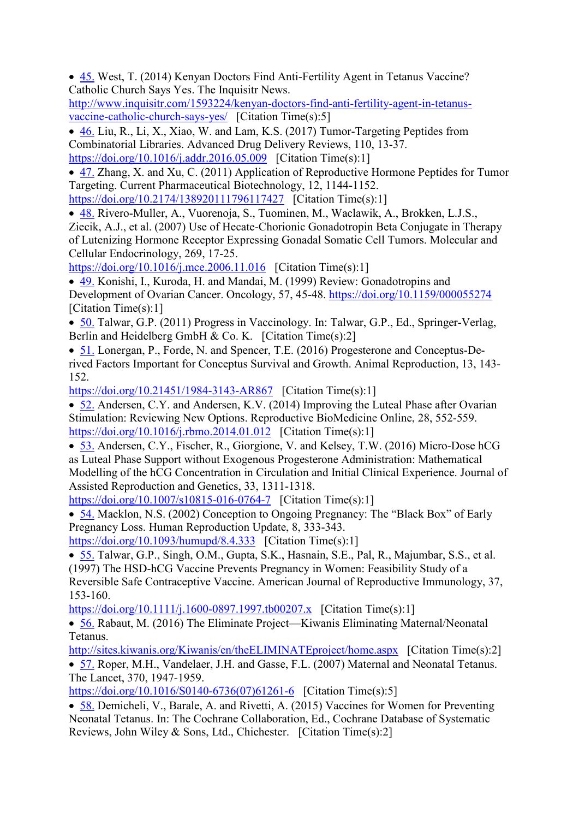• [45.](https://www.scirp.org/reference/ReferencesPapers.aspx?ReferenceID=2195964) West, T. (2014) Kenyan Doctors Find Anti-Fertility Agent in Tetanus Vaccine? Catholic Church Says Yes. The Inquisitr News.

[http://www.inquisitr.com/1593224/kenyan-doctors-find-anti-fertility-agent-in-tetanus](http://www.inquisitr.com/1593224/kenyan-doctors-find-anti-fertility-agent-in-tetanus-vaccine-catholic-church-says-yes/)[vaccine-catholic-church-says-yes/](http://www.inquisitr.com/1593224/kenyan-doctors-find-anti-fertility-agent-in-tetanus-vaccine-catholic-church-says-yes/) [Citation Time(s):5]

• [46.](https://www.scirp.org/reference/ReferencesPapers.aspx?ReferenceID=2195965) Liu, R., Li, X., Xiao, W. and Lam, K.S. (2017) Tumor-Targeting Peptides from Combinatorial Libraries. Advanced Drug Delivery Reviews, 110, 13-37. <https://doi.org/10.1016/j.addr.2016.05.009>[Citation Time(s):1]

• [47.](https://www.scirp.org/reference/ReferencesPapers.aspx?ReferenceID=2195966) Zhang, X. and Xu, C. (2011) Application of Reproductive Hormone Peptides for Tumor Targeting. Current Pharmaceutical Biotechnology, 12, 1144-1152.

<https://doi.org/10.2174/138920111796117427>[Citation Time(s):1]

• [48.](https://www.scirp.org/reference/ReferencesPapers.aspx?ReferenceID=2195967) Rivero-Muller, A., Vuorenoja, S., Tuominen, M., Waclawik, A., Brokken, L.J.S., Ziecik, A.J., et al. (2007) Use of Hecate-Chorionic Gonadotropin Beta Conjugate in Therapy of Lutenizing Hormone Receptor Expressing Gonadal Somatic Cell Tumors. Molecular and Cellular Endocrinology, 269, 17-25.

<https://doi.org/10.1016/j.mce.2006.11.016>[Citation Time(s):1]

• [49.](https://www.scirp.org/reference/ReferencesPapers.aspx?ReferenceID=2195968) Konishi, I., Kuroda, H. and Mandai, M. (1999) Review: Gonadotropins and Development of Ovarian Cancer. Oncology, 57, 45-48.<https://doi.org/10.1159/000055274> [Citation Time(s):1]

- [50.](https://www.scirp.org/reference/ReferencesPapers.aspx?ReferenceID=2195969) Talwar, G.P. (2011) Progress in Vaccinology. In: Talwar, G.P., Ed., Springer-Verlag, Berlin and Heidelberg GmbH  $& Co. K.$  [Citation Time(s):2]
- [51.](https://www.scirp.org/reference/ReferencesPapers.aspx?ReferenceID=2195970) Lonergan, P., Forde, N. and Spencer, T.E. (2016) Progesterone and Conceptus-Derived Factors Important for Conceptus Survival and Growth. Animal Reproduction, 13, 143- 152.

<https://doi.org/10.21451/1984-3143-AR867>[Citation Time(s):1]

• [52.](https://www.scirp.org/reference/ReferencesPapers.aspx?ReferenceID=2195971) Andersen, C.Y. and Andersen, K.V. (2014) Improving the Luteal Phase after Ovarian Stimulation: Reviewing New Options. Reproductive BioMedicine Online, 28, 552-559. <https://doi.org/10.1016/j.rbmo.2014.01.012>[Citation Time(s):1]

• [53.](https://www.scirp.org/reference/ReferencesPapers.aspx?ReferenceID=2195972) Andersen, C.Y., Fischer, R., Giorgione, V. and Kelsey, T.W. (2016) Micro-Dose hCG as Luteal Phase Support without Exogenous Progesterone Administration: Mathematical Modelling of the hCG Concentration in Circulation and Initial Clinical Experience. Journal of Assisted Reproduction and Genetics, 33, 1311-1318.

<https://doi.org/10.1007/s10815-016-0764-7>[Citation Time(s):1]

• [54.](https://www.scirp.org/reference/ReferencesPapers.aspx?ReferenceID=2195973) Macklon, N.S. (2002) Conception to Ongoing Pregnancy: The "Black Box" of Early Pregnancy Loss. Human Reproduction Update, 8, 333-343.

<https://doi.org/10.1093/humupd/8.4.333>[Citation Time(s):1]

• [55.](https://www.scirp.org/reference/ReferencesPapers.aspx?ReferenceID=2195974) Talwar, G.P., Singh, O.M., Gupta, S.K., Hasnain, S.E., Pal, R., Majumbar, S.S., et al. (1997) The HSD-hCG Vaccine Prevents Pregnancy in Women: Feasibility Study of a Reversible Safe Contraceptive Vaccine. American Journal of Reproductive Immunology, 37, 153-160.

<https://doi.org/10.1111/j.1600-0897.1997.tb00207.x>[Citation Time(s):1]

• [56.](https://www.scirp.org/reference/ReferencesPapers.aspx?ReferenceID=2195975) Rabaut, M. (2016) The Eliminate Project—Kiwanis Eliminating Maternal/Neonatal Tetanus.

<http://sites.kiwanis.org/Kiwanis/en/theELIMINATEproject/home.aspx>[Citation Time(s):2] • [57.](https://www.scirp.org/reference/ReferencesPapers.aspx?ReferenceID=2195976) Roper, M.H., Vandelaer, J.H. and Gasse, F.L. (2007) Maternal and Neonatal Tetanus. The Lancet, 370, 1947-1959.

[https://doi.org/10.1016/S0140-6736\(07\)61261-6](https://doi.org/10.1016/S0140-6736(07)61261-6) [Citation Time(s):5]

• [58.](https://www.scirp.org/reference/ReferencesPapers.aspx?ReferenceID=2195977) Demicheli, V., Barale, A. and Rivetti, A. (2015) Vaccines for Women for Preventing Neonatal Tetanus. In: The Cochrane Collaboration, Ed., Cochrane Database of Systematic Reviews, John Wiley & Sons, Ltd., Chichester. [Citation Time(s):2]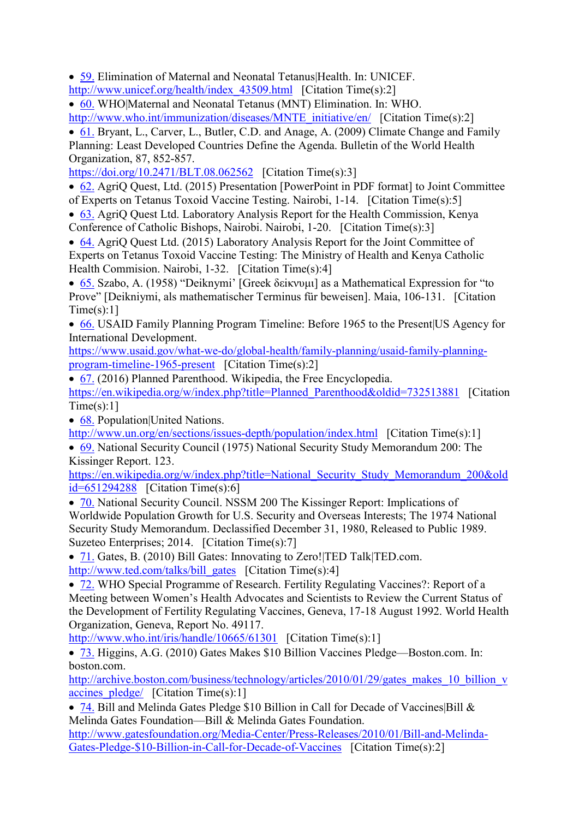• [59.](https://www.scirp.org/reference/ReferencesPapers.aspx?ReferenceID=2195978) Elimination of Maternal and Neonatal Tetanus Health. In: UNICEF. [http://www.unicef.org/health/index\\_43509.html](http://www.unicef.org/health/index_43509.html) [Citation Time(s):2]

• [60.](https://www.scirp.org/reference/ReferencesPapers.aspx?ReferenceID=2195979) WHO|Maternal and Neonatal Tetanus (MNT) Elimination. In: WHO. [http://www.who.int/immunization/diseases/MNTE\\_initiative/en/](http://www.who.int/immunization/diseases/MNTE_initiative/en/) [Citation Time(s):2]

• [61.](https://www.scirp.org/reference/ReferencesPapers.aspx?ReferenceID=2195980) Bryant, L., Carver, L., Butler, C.D. and Anage, A. (2009) Climate Change and Family Planning: Least Developed Countries Define the Agenda. Bulletin of the World Health Organization, 87, 852-857.

<https://doi.org/10.2471/BLT.08.062562>[Citation Time(s):3]

• [62.](https://www.scirp.org/reference/ReferencesPapers.aspx?ReferenceID=2195981) AgriQ Quest, Ltd. (2015) Presentation [PowerPoint in PDF format] to Joint Committee of Experts on Tetanus Toxoid Vaccine Testing. Nairobi, 1-14. [Citation Time(s):5]

• [63.](https://www.scirp.org/reference/ReferencesPapers.aspx?ReferenceID=2195982) AgriO Quest Ltd. Laboratory Analysis Report for the Health Commission, Kenya Conference of Catholic Bishops, Nairobi. Nairobi, 1-20. [Citation Time(s):3]

• [64.](https://www.scirp.org/reference/ReferencesPapers.aspx?ReferenceID=2195983) AgriO Quest Ltd. (2015) Laboratory Analysis Report for the Joint Committee of Experts on Tetanus Toxoid Vaccine Testing: The Ministry of Health and Kenya Catholic Health Commision. Nairobi, 1-32. [Citation Time(s):4]

• [65.](https://www.scirp.org/reference/ReferencesPapers.aspx?ReferenceID=2195984) Szabo, A. (1958) "Deiknymi" [Greek δεiκνυμι] as a Mathematical Expression for "to Prove" [Deikniymi, als mathematischer Terminus für beweisen]. Maia, 106-131. [Citation  $Time(s):11$ 

• [66.](https://www.scirp.org/reference/ReferencesPapers.aspx?ReferenceID=2195985) USAID Family Planning Program Timeline: Before 1965 to the Present US Agency for International Development.

[https://www.usaid.gov/what-we-do/global-health/family-planning/usaid-family-planning](https://www.usaid.gov/what-we-do/global-health/family-planning/usaid-family-planning-program-timeline-1965-present)[program-timeline-1965-present](https://www.usaid.gov/what-we-do/global-health/family-planning/usaid-family-planning-program-timeline-1965-present) [Citation Time(s):2]

• [67.](https://www.scirp.org/reference/ReferencesPapers.aspx?ReferenceID=2195986) (2016) Planned Parenthood. Wikipedia, the Free Encyclopedia.

[https://en.wikipedia.org/w/index.php?title=Planned\\_Parenthood&oldid=732513881](https://en.wikipedia.org/w/index.php?title=Planned_Parenthood&oldid=732513881) [Citation  $Time(s):1]$ 

• [68.](https://www.scirp.org/reference/ReferencesPapers.aspx?ReferenceID=2195987) Population|United Nations.

<http://www.un.org/en/sections/issues-depth/population/index.html>[Citation Time(s):1]

• [69.](https://www.scirp.org/reference/ReferencesPapers.aspx?ReferenceID=2195988) National Security Council (1975) National Security Study Memorandum 200: The Kissinger Report. 123.

[https://en.wikipedia.org/w/index.php?title=National\\_Security\\_Study\\_Memorandum\\_200&old](https://en.wikipedia.org/w/index.php?title=National_Security_Study_Memorandum_200&oldid=651294288) [id=651294288](https://en.wikipedia.org/w/index.php?title=National_Security_Study_Memorandum_200&oldid=651294288) [Citation Time(s):6]

• [70.](https://www.scirp.org/reference/ReferencesPapers.aspx?ReferenceID=2195989) National Security Council. NSSM 200 The Kissinger Report: Implications of Worldwide Population Growth for U.S. Security and Overseas Interests; The 1974 National Security Study Memorandum. Declassified December 31, 1980, Released to Public 1989. Suzeteo Enterprises; 2014. [Citation Time(s):7]

• [71.](https://www.scirp.org/reference/ReferencesPapers.aspx?ReferenceID=2195990) Gates, B. (2010) Bill Gates: Innovating to Zero! [TED Talk|TED.com. [http://www.ted.com/talks/bill\\_gates](http://www.ted.com/talks/bill_gates) [Citation Time(s):4]

• [72.](https://www.scirp.org/reference/ReferencesPapers.aspx?ReferenceID=2195991) WHO Special Programme of Research. Fertility Regulating Vaccines?: Report of a Meeting between Women's Health Advocates and Scientists to Review the Current Status of the Development of Fertility Regulating Vaccines, Geneva, 17-18 August 1992. World Health Organization, Geneva, Report No. 49117.

[http://www.who.int/iris/handle/10665/61301](http://www.who.int/iris/handle/10665/61301�) [Citation Time(s):1]

• [73.](https://www.scirp.org/reference/ReferencesPapers.aspx?ReferenceID=2195992) Higgins, A.G. (2010) Gates Makes \$10 Billion Vaccines Pledge—Boston.com. In: boston.com.

[http://archive.boston.com/business/technology/articles/2010/01/29/gates\\_makes\\_10\\_billion\\_v](http://archive.boston.com/business/technology/articles/2010/01/29/gates_makes_10_billion_vaccines_pledge/) accines  $pledge/$  [Citation Time(s):1]

• [74.](https://www.scirp.org/reference/ReferencesPapers.aspx?ReferenceID=2195993) Bill and Melinda Gates Pledge \$10 Billion in Call for Decade of Vaccines|Bill & Melinda Gates Foundation—Bill & Melinda Gates Foundation.

[http://www.gatesfoundation.org/Media-Center/Press-Releases/2010/01/Bill-and-Melinda-](http://www.gatesfoundation.org/Media-Center/Press-Releases/2010/01/Bill-and-Melinda-Gates-Pledge-$10-Billion-in-Call-for-Decade-of-Vaccines)[Gates-Pledge-\\$10-Billion-in-Call-for-Decade-of-Vaccines](http://www.gatesfoundation.org/Media-Center/Press-Releases/2010/01/Bill-and-Melinda-Gates-Pledge-$10-Billion-in-Call-for-Decade-of-Vaccines) [Citation Time(s):2]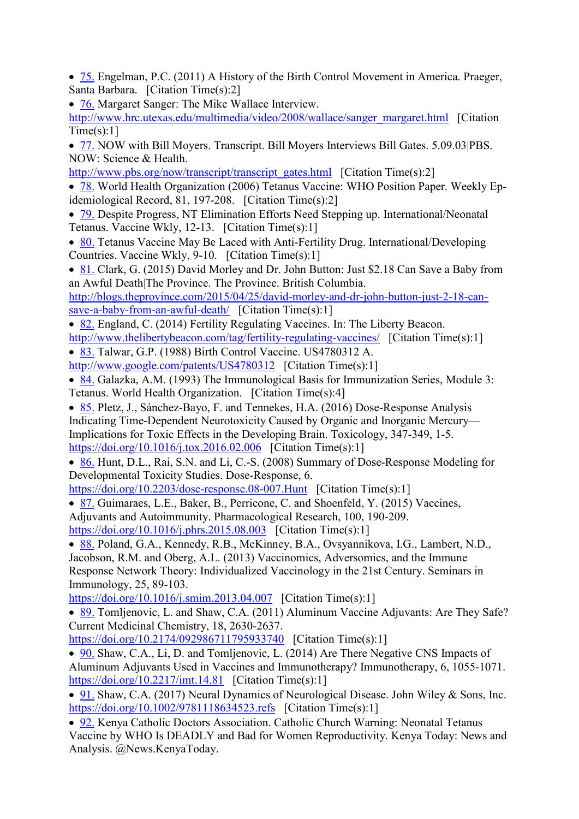- [75.](https://www.scirp.org/reference/ReferencesPapers.aspx?ReferenceID=2195994) Engelman, P.C. (2011) A History of the Birth Control Movement in America. Praeger, Santa Barbara. [Citation Time(s):2]
- [76.](https://www.scirp.org/reference/ReferencesPapers.aspx?ReferenceID=2195995) Margaret Sanger: The Mike Wallace Interview.
- [http://www.hrc.utexas.edu/multimedia/video/2008/wallace/sanger\\_margaret.html](http://www.hrc.utexas.edu/multimedia/video/2008/wallace/sanger_margaret.html) [Citation]  $Time(s):1]$
- [77.](https://www.scirp.org/reference/ReferencesPapers.aspx?ReferenceID=2195996) NOW with Bill Moyers. Transcript. Bill Moyers Interviews Bill Gates. 5.09.03|PBS. NOW: Science & Health.
- [http://www.pbs.org/now/transcript/transcript\\_gates.html](http://www.pbs.org/now/transcript/transcript_gates.html) [Citation Time(s):2]
- [78.](https://www.scirp.org/reference/ReferencesPapers.aspx?ReferenceID=2195997) World Health Organization (2006) Tetanus Vaccine: WHO Position Paper. Weekly Epidemiological Record, 81, 197-208. [Citation Time(s):2]
- [79.](https://www.scirp.org/reference/ReferencesPapers.aspx?ReferenceID=2195998) Despite Progress, NT Elimination Efforts Need Stepping up. International/Neonatal Tetanus. Vaccine Wkly, 12-13. [Citation Time(s):1]
- [80.](https://www.scirp.org/reference/ReferencesPapers.aspx?ReferenceID=2195999) Tetanus Vaccine May Be Laced with Anti-Fertility Drug. International/Developing Countries. Vaccine Wkly, 9-10. [Citation Time(s):1]
- [81.](https://www.scirp.org/reference/ReferencesPapers.aspx?ReferenceID=2196000) Clark, G. (2015) David Morley and Dr. John Button: Just \$2.18 Can Save a Baby from an Awful Death|The Province. The Province. British Columbia.

[http://blogs.theprovince.com/2015/04/25/david-morley-and-dr-john-button-just-2-18-can](http://blogs.theprovince.com/2015/04/25/david-morley-and-dr-john-button-just-2-18-can-save-a-baby-from-an-awful-death/)[save-a-baby-from-an-awful-death/](http://blogs.theprovince.com/2015/04/25/david-morley-and-dr-john-button-just-2-18-can-save-a-baby-from-an-awful-death/) [Citation Time(s):1]

- [82.](https://www.scirp.org/reference/ReferencesPapers.aspx?ReferenceID=2196001) England, C. (2014) Fertility Regulating Vaccines. In: The Liberty Beacon. <http://www.thelibertybeacon.com/tag/fertility-regulating-vaccines/>[Citation Time(s):1]
- [83.](https://www.scirp.org/reference/ReferencesPapers.aspx?ReferenceID=2196002) Talwar, G.P. (1988) Birth Control Vaccine. US4780312 A. <http://www.google.com/patents/US4780312>[Citation Time(s):1]
- [84.](https://www.scirp.org/reference/ReferencesPapers.aspx?ReferenceID=2196003) Galazka, A.M. (1993) The Immunological Basis for Immunization Series, Module 3: Tetanus. World Health Organization. [Citation Time(s):4]
- [85.](https://www.scirp.org/reference/ReferencesPapers.aspx?ReferenceID=2196004) Pletz, J., Sánchez-Bayo, F. and Tennekes, H.A. (2016) Dose-Response Analysis Indicating Time-Dependent Neurotoxicity Caused by Organic and Inorganic Mercury— Implications for Toxic Effects in the Developing Brain. Toxicology, 347-349, 1-5. <https://doi.org/10.1016/j.tox.2016.02.006>[Citation Time(s):1]
- [86.](https://www.scirp.org/reference/ReferencesPapers.aspx?ReferenceID=2196005) Hunt, D.L., Rai, S.N. and Li, C.-S. (2008) Summary of Dose-Response Modeling for Developmental Toxicity Studies. Dose-Response, 6.
- <https://doi.org/10.2203/dose-response.08-007.Hunt>[Citation Time(s):1]
- [87.](https://www.scirp.org/reference/ReferencesPapers.aspx?ReferenceID=2196006) Guimaraes, L.E., Baker, B., Perricone, C. and Shoenfeld, Y. (2015) Vaccines,
- Adjuvants and Autoimmunity. Pharmacological Research, 100, 190-209.
- <https://doi.org/10.1016/j.phrs.2015.08.003>[Citation Time(s):1]
- [88.](https://www.scirp.org/reference/ReferencesPapers.aspx?ReferenceID=2196007) Poland, G.A., Kennedy, R.B., McKinney, B.A., Ovsyannikova, I.G., Lambert, N.D., Jacobson, R.M. and Oberg, A.L. (2013) Vaccinomics, Adversomics, and the Immune Response Network Theory: Individualized Vaccinology in the 21st Century. Seminars in Immunology, 25, 89-103.
- <https://doi.org/10.1016/j.smim.2013.04.007>[Citation Time(s):1]
- [89.](https://www.scirp.org/reference/ReferencesPapers.aspx?ReferenceID=2196008) Tomljenovic, L. and Shaw, C.A. (2011) Aluminum Vaccine Adjuvants: Are They Safe? Current Medicinal Chemistry, 18, 2630-2637.
- <https://doi.org/10.2174/092986711795933740>[Citation Time(s):1]
- [90.](https://www.scirp.org/reference/ReferencesPapers.aspx?ReferenceID=2196009) Shaw, C.A., Li, D. and Tomljenovic, L. (2014) Are There Negative CNS Impacts of Aluminum Adjuvants Used in Vaccines and Immunotherapy? Immunotherapy, 6, 1055-1071. <https://doi.org/10.2217/imt.14.81>[Citation Time(s):1]
- [91.](https://www.scirp.org/reference/ReferencesPapers.aspx?ReferenceID=2196010) Shaw, C.A. (2017) Neural Dynamics of Neurological Disease. John Wiley & Sons, Inc. <https://doi.org/10.1002/9781118634523.refs>[Citation Time(s):1]
- [92.](https://www.scirp.org/reference/ReferencesPapers.aspx?ReferenceID=2196011) Kenya Catholic Doctors Association. Catholic Church Warning: Neonatal Tetanus Vaccine by WHO Is DEADLY and Bad for Women Reproductivity. Kenya Today: News and Analysis. @News.KenyaToday.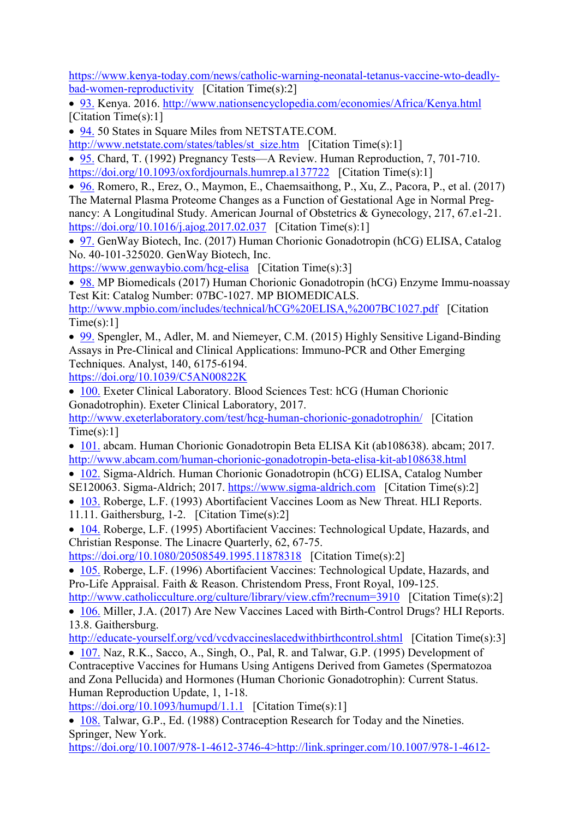[https://www.kenya-today.com/news/catholic-warning-neonatal-tetanus-vaccine-wto-deadly](https://www.kenya-today.com/news/catholic-warning-neonatal-tetanus-vaccine-wto-deadly-bad-women-reproductivity)[bad-women-reproductivity](https://www.kenya-today.com/news/catholic-warning-neonatal-tetanus-vaccine-wto-deadly-bad-women-reproductivity) [Citation Time(s):2]

• [93.](https://www.scirp.org/reference/ReferencesPapers.aspx?ReferenceID=2196012) Kenya. 2016.<http://www.nationsencyclopedia.com/economies/Africa/Kenya.html> [Citation Time(s):1]

• [94.](https://www.scirp.org/reference/ReferencesPapers.aspx?ReferenceID=2196013) 50 States in Square Miles from NETSTATE.COM.

[http://www.netstate.com/states/tables/st\\_size.htm](http://www.netstate.com/states/tables/st_size.htm) [Citation Time(s):1]

• [95.](https://www.scirp.org/reference/ReferencesPapers.aspx?ReferenceID=2196014) Chard, T. (1992) Pregnancy Tests—A Review. Human Reproduction, 7, 701-710. <https://doi.org/10.1093/oxfordjournals.humrep.a137722>[Citation Time(s):1]

• [96.](https://www.scirp.org/reference/ReferencesPapers.aspx?ReferenceID=2196015) Romero, R., Erez, O., Maymon, E., Chaemsaithong, P., Xu, Z., Pacora, P., et al. (2017) The Maternal Plasma Proteome Changes as a Function of Gestational Age in Normal Pregnancy: A Longitudinal Study. American Journal of Obstetrics & Gynecology, 217, 67.e1-21. <https://doi.org/10.1016/j.ajog.2017.02.037>[Citation Time(s):1]

• [97.](https://www.scirp.org/reference/ReferencesPapers.aspx?ReferenceID=2196016) GenWay Biotech, Inc. (2017) Human Chorionic Gonadotropin (hCG) ELISA, Catalog No. 40-101-325020. GenWay Biotech, Inc.

[https://www.genwaybio.com/hcg-elisa](https://www.scirp.org/html/www.genwaybio.com/hcg-elisa) [Citation Time(s):3]

• [98.](https://www.scirp.org/reference/ReferencesPapers.aspx?ReferenceID=2196017) MP Biomedicals (2017) Human Chorionic Gonadotropin (hCG) Enzyme Immu-noassay Test Kit: Catalog Number: 07BC-1027. MP BIOMEDICALS.

<http://www.mpbio.com/includes/technical/hCG%20ELISA,%2007BC1027.pdf>[Citation  $Time(s):1]$ 

• [99.](https://www.scirp.org/reference/ReferencesPapers.aspx?ReferenceID=2196018) Spengler, M., Adler, M. and Niemeyer, C.M. (2015) Highly Sensitive Ligand-Binding Assays in Pre-Clinical and Clinical Applications: Immuno-PCR and Other Emerging Techniques. Analyst, 140, 6175-6194.

<https://doi.org/10.1039/C5AN00822K>

• [100.](https://www.scirp.org/reference/ReferencesPapers.aspx?ReferenceID=2196019) Exeter Clinical Laboratory. Blood Sciences Test: hCG (Human Chorionic Gonadotrophin). Exeter Clinical Laboratory, 2017.

<http://www.exeterlaboratory.com/test/hcg-human-chorionic-gonadotrophin/>[Citation  $Time(s):1]$ 

• [101.](https://www.scirp.org/reference/ReferencesPapers.aspx?ReferenceID=2196020) abcam. Human Chorionic Gonadotropin Beta ELISA Kit (ab108638). abcam; 2017. <http://www.abcam.com/human-chorionic-gonadotropin-beta-elisa-kit-ab108638.html>

• [102.](https://www.scirp.org/reference/ReferencesPapers.aspx?ReferenceID=2196021) Sigma-Aldrich. Human Chorionic Gonadotropin (hCG) ELISA, Catalog Number SE120063. Sigma-Aldrich; 2017. [https://www.sigma-aldrich.com](https://www.scirp.org/html/www.sigma-aldrich.com) [Citation Time(s):2]

• [103.](https://www.scirp.org/reference/ReferencesPapers.aspx?ReferenceID=2196022) Roberge, L.F. (1993) Abortifacient Vaccines Loom as New Threat. HLI Reports. 11.11. Gaithersburg, 1-2. [Citation Time(s):2]

• [104.](https://www.scirp.org/reference/ReferencesPapers.aspx?ReferenceID=2196023) Roberge, L.F. (1995) Abortifacient Vaccines: Technological Update, Hazards, and Christian Response. The Linacre Quarterly, 62, 67-75.

<https://doi.org/10.1080/20508549.1995.11878318>[Citation Time(s):2]

• [105.](https://www.scirp.org/reference/ReferencesPapers.aspx?ReferenceID=2196024) Roberge, L.F. (1996) Abortifacient Vaccines: Technological Update, Hazards, and Pro-Life Appraisal. Faith & Reason. Christendom Press, Front Royal, 109-125.

<http://www.catholicculture.org/culture/library/view.cfm?recnum=3910>[Citation Time(s):2] • [106.](https://www.scirp.org/reference/ReferencesPapers.aspx?ReferenceID=2196025) Miller, J.A. (2017) Are New Vaccines Laced with Birth-Control Drugs? HLI Reports. 13.8. Gaithersburg.

<http://educate-yourself.org/vcd/vcdvaccineslacedwithbirthcontrol.shtml>[Citation Time(s):3]

• [107.](https://www.scirp.org/reference/ReferencesPapers.aspx?ReferenceID=2196026) Naz, R.K., Sacco, A., Singh, O., Pal, R. and Talwar, G.P. (1995) Development of Contraceptive Vaccines for Humans Using Antigens Derived from Gametes (Spermatozoa and Zona Pellucida) and Hormones (Human Chorionic Gonadotrophin): Current Status. Human Reproduction Update, 1, 1-18.

<https://doi.org/10.1093/humupd/1.1.1>[Citation Time(s):1]

• [108.](https://www.scirp.org/reference/ReferencesPapers.aspx?ReferenceID=2196027) Talwar, G.P., Ed. (1988) Contraception Research for Today and the Nineties. Springer, New York.

[https://doi.org/10.1007/978-1-4612-3746-4>http://link.springer.com/10.1007/978-1-4612-](http://link.springer.com/10.1007/978-1-4612-3746-4%3cbr/)